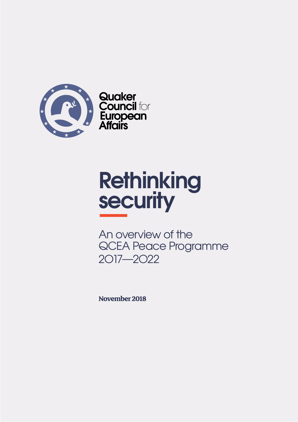

**Quaker<br>Council for<br>European<br>Affairs** 

# **Rethinking security**

An overview of the QCEA Peace Programme 2O17—2O22

**November 2018**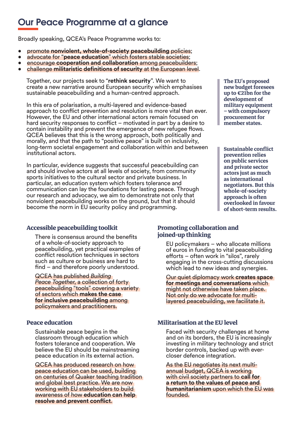## **Our Peace Programme at a glance**

Broadly speaking, QCEA's Peace Programme works to:

- promote **nonviolent, whole-of-society peacebuilding** policies;
- advocate for "**peace education**" which fosters stable societies;
- encourage **cooperation and collaboration** among peacebuilders;
- challenge **militaristic definitions of security** at the European level.

Together, our projects seek to "**rethink security**". We want to create a new narrative around European security which emphasises sustainable peacebuilding and a human-centred approach.

In this era of polarisation, a multi-layered and evidence-based approach to conflict prevention and resolution is more vital than ever. However, the EU and other international actors remain focused on hard security responses to conflict – motivated in part by a desire to contain instability and prevent the emergence of new refugee flows. QCEA believes that this is the wrong approach, both politically and morally, and that the path to "positive peace" is built on inclusivity, long-term societal engagement and collaboration within and between institutional actors.

In particular, evidence suggests that successful peacebuilding can and should involve actors at all levels of society, from community sports initiatives to the cultural sector and private business. In particular, an education system which fosters tolerance and communication can lay the foundations for lasting peace. Through our research and advocacy, we aim to demonstrate not only that nonviolent peacebuilding works on the ground, but that it should become the norm in EU security policy and programming.

**The EU**'**s proposed new budget foresees up to €21bn for the development of military equipment – with compulsory procurement for member states.**

**Sustainable conflict prevention relies on public services and private sector actors just as much as international negotiators. But this whole-of-society approach is often overlooked in favour of short-term results.**

#### **Accessible peacebuilding toolkit**

There is consensus around the benefits of a whole-of-society approach to peacebuilding, yet practical examples of conflict resolution techniques in sectors such as culture or business are hard to find – and therefore poorly understood.

QCEA has published *Building Peace Together*, a collection of forty peacebuilding "tools" covering a variety of sectors which **makes the case for inclusive peacebuilding** among policymakers and practitioners.

#### **Peace education**

Sustainable peace begins in the classroom through education which fosters tolerance and cooperation. We believe the EU should be mainstreaming peace education in its external action.

QCEA has produced research on how peace education can be used, building on centuries of Quaker teaching tradition and global best practice. We are now working with EU stakeholders to build awareness of how **education can help resolve and prevent conflict**.

#### **Promoting collaboration and joined-up thinking**

EU policymakers – who allocate millions of euros in funding to vital peacebuilding efforts – often work in "silos", rarely engaging in the cross-cutting discussions which lead to new ideas and synergies.

Our quiet diplomacy work **creates space for meetings and conversations** which might not otherwise have taken place. Not only do we advocate for multilayered peacebuilding, we facilitate it.

#### **Militarisation at the EU level**

Faced with security challenges at home and on its borders, the EU is increasingly investing in military technology and strict border controls, backed up with evercloser defence integration.

As the EU negotiates its next multiannual budget, QCEA is working with civil society partners to **call for a return to the values of peace and humanitarianism** upon which the EU was founded.